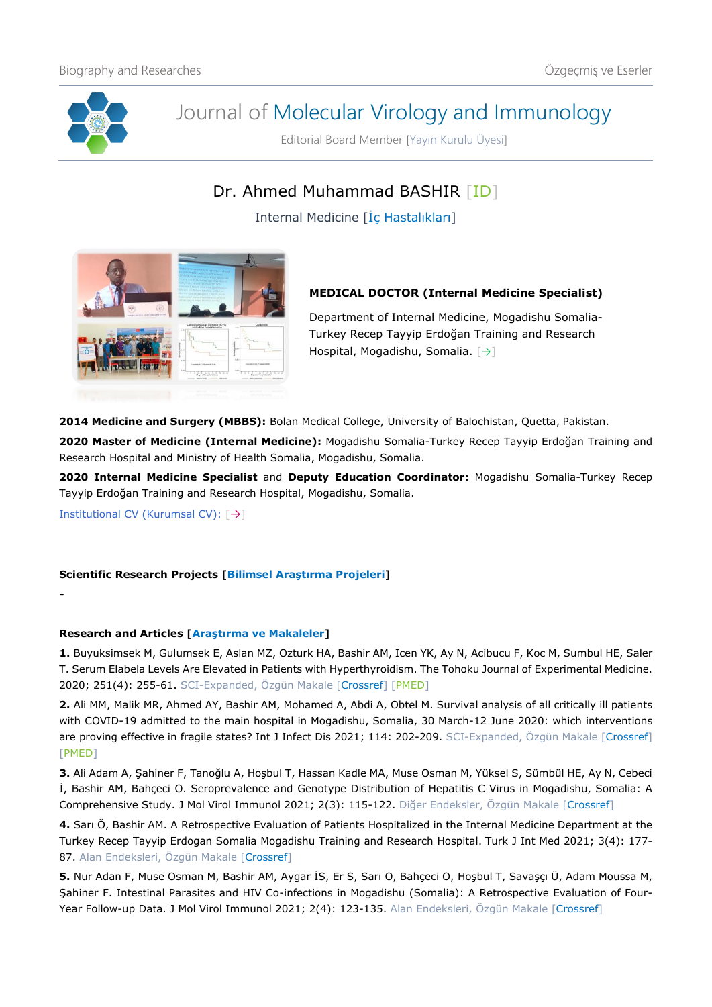

# Journal of Molecular Virology and Immunology

Editorial Board Member [Yayın Kurulu Üyesi]

## Dr. Ahmed Muhammad BASHIR [\[ID\]](https://orcid.org/0000-0002-7992-506X)

Internal Medicine [İç Hastalıkları]



### **MEDICAL DOCTOR (Internal Medicine Specialist)**

Department of Internal Medicine, Mogadishu Somalia-Turkey Recep Tayyip Erdoğan Training and Research Hospital, Mogadishu, Somalia. [[→](https://somaliturkishhospital.saglik.gov.tr/)]

**2014 Medicine and Surgery (MBBS):** Bolan Medical College, University of Balochistan, Quetta, Pakistan.

**2020 Master of Medicine (Internal Medicine):** Mogadishu Somalia-Turkey Recep Tayyip Erdoğan Training and Research Hospital and Ministry of Health Somalia, Mogadishu, Somalia.

**2020 Internal Medicine Specialist** and **Deputy Education Coordinator:** Mogadishu Somalia-Turkey Recep Tayyip Erdoğan Training and Research Hospital, Mogadishu, Somalia.

Institutional CV (Kurumsal CV): [→]

**-**

#### **Scientific Research Projects [Bilimsel Araştırma Projeleri]**

#### **Research and Articles [Araştırma ve Makaleler]**

**1.** Buyuksimsek M, Gulumsek E, Aslan MZ, Ozturk HA, Bashir AM, Icen YK, Ay N, Acibucu F, Koc M, Sumbul HE, Saler T. Serum Elabela Levels Are Elevated in Patients with Hyperthyroidism. The Tohoku Journal of Experimental Medicine. 2020; 251(4): 255-61. SCI-Expanded, Özgün Makale [\[Crossref\]](https://doi.org/10.1620/tjem.251.255) [\[PMED\]](https://pubmed.ncbi.nlm.nih.gov/32713880/)

**2.** Ali MM, Malik MR, Ahmed AY, Bashir AM, Mohamed A, Abdi A, Obtel M. Survival analysis of all critically ill patients with COVID-19 admitted to the main hospital in Mogadishu, Somalia, 30 March-12 June 2020: which interventions are proving effective in fragile states? Int J Infect Dis 2021; 114: 202-209. SCI-Expanded, Özgün Makale [\[Crossref\]](https://doi.org/10.1016/j.ijid.2021.11.018) [\[PMED\]](https://pubmed.ncbi.nlm.nih.gov/34781004/)

**3.** Ali Adam A, Şahiner F, Tanoğlu A, Hoşbul T, Hassan Kadle MA, Muse Osman M, Yüksel S, Sümbül HE, Ay N, Cebeci İ, Bashir AM, Bahçeci O. Seroprevalence and Genotype Distribution of Hepatitis C Virus in Mogadishu, Somalia: A Comprehensive Study. J Mol Virol Immunol 2021; 2(3): 115-122. Diğer Endeksler, Özgün Makale [\[Crossref\]](https://doi.org/10.46683/jmvi.2021.38)

**4.** Sarı Ö, Bashir AM. A Retrospective Evaluation of Patients Hospitalized in the Internal Medicine Department at the Turkey Recep Tayyip Erdogan Somalia Mogadishu Training and Research Hospital. Turk J Int Med 2021; 3(4): 177- 87. Alan Endeksleri, Özgün Makale [\[Crossref\]](https://doi.org/10.46310/tjim.899718)

**5.** Nur Adan F, Muse Osman M, Bashir AM, Aygar İS, Er S, Sarı O, Bahçeci O, Hoşbul T, Savaşçı Ü, Adam Moussa M, Şahiner F. Intestinal Parasites and HIV Co-infections in Mogadishu (Somalia): A Retrospective Evaluation of Four-Year Follow-up Data. J Mol Virol Immunol 2021; 2(4): 123-135. Alan Endeksleri, Özgün Makale [\[Crossref\]](https://doi.org/10.46683/jmvi.2021.39)